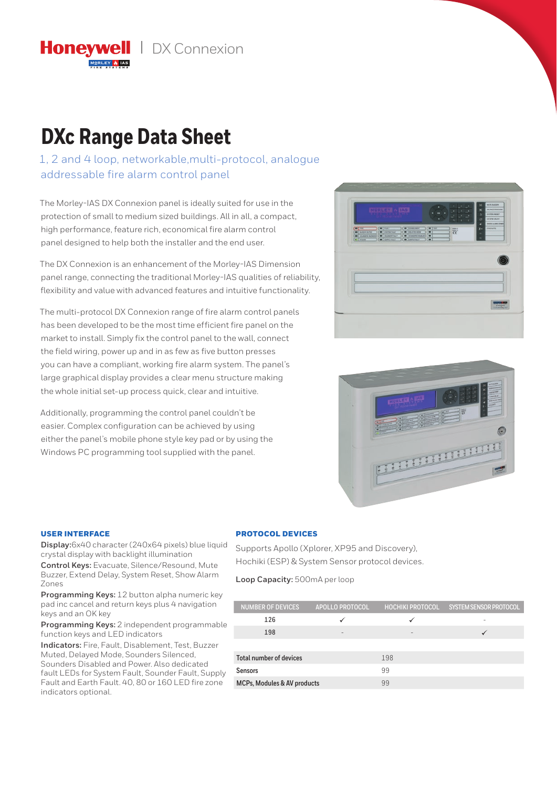**Honevwell** | DX Connexion

# **DXc Range Data Sheet**

1, 2 and 4 loop, networkable,multi-protocol, analogue addressable fire alarm control panel

The Morley-IAS DX Connexion panel is ideally suited for use in the protection of small to medium sized buildings. All in all, a compact, high performance, feature rich, economical fire alarm control panel designed to help both the installer and the end user.

The DX Connexion is an enhancement of the Morley-IAS Dimension panel range, connecting the traditional Morley-IAS qualities of reliability, flexibility and value with advanced features and intuitive functionality.

The multi-protocol DX Connexion range of fire alarm control panels has been developed to be the most time efficient fire panel on the market to install. Simply fix the control panel to the wall, connect the field wiring, power up and in as few as five button presses you can have a compliant, working fire alarm system. The panel's large graphical display provides a clear menu structure making the whole initial set-up process quick, clear and intuitive.

Additionally, programming the control panel couldn't be easier. Complex configuration can be achieved by using either the panel's mobile phone style key pad or by using the Windows PC programming tool supplied with the panel.





### USER INTERFACE

**Display:**6x40 character (240x64 pixels) blue liquid crystal display with backlight illumination

**Control Keys:** Evacuate, Silence/Resound, Mute Buzzer, Extend Delay, System Reset, Show Alarm Zones

**Programming Keys:** 12 button alpha numeric key pad inc cancel and return keys plus 4 navigation keys and an OK key

**Programming Keys:** 2 independent programmable function keys and LED indicators

**Indicators:** Fire, Fault, Disablement, Test, Buzzer Muted, Delayed Mode, Sounders Silenced, Sounders Disabled and Power. Also dedicated fault LEDs for System Fault, Sounder Fault, Supply Fault and Earth Fault. 40, 80 or 160 LED fire zone indicators optional.

## PROTOCOL DEVICES

Supports Apollo (Xplorer, XP95 and Discovery), Hochiki (ESP) & System Sensor protocol devices.

**Loop Capacity:** 500mA per loop

| <b>NUMBER OF DEVICES</b>       | <b>APOLLO PROTOCOL</b> |     | HOCHIKI PROTOCOL SYSTEM SENSOR PROTOCOL |
|--------------------------------|------------------------|-----|-----------------------------------------|
| 126                            |                        |     |                                         |
| 198                            |                        |     |                                         |
|                                |                        |     |                                         |
| <b>Total number of devices</b> |                        | 198 |                                         |
| <b>Sensors</b>                 |                        | 99  |                                         |
| MCPs, Modules & AV products    |                        | 99  |                                         |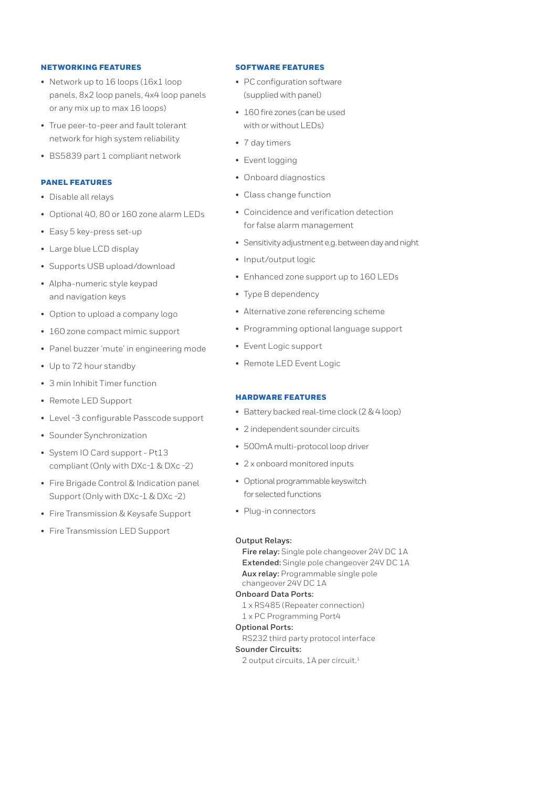# NETWORKING FEATURES

- Network up to 16 loops (16x1 loop panels, 8x2 loop panels, 4x4 loop panels or any mix up to max 16 loops)
- True peer-to-peer and fault tolerant network for high system reliability
- BS5839 part 1 compliant network

# PANEL FEATURES

- Disable all relays
- Optional 40, 80 or 160 zone alarm LEDs
- Easy 5 key-press set-up
- Large blue LCD display
- Supports USB upload/download
- Alpha-numeric style keypad and navigation keys
- Option to upload a company logo
- 160 zone compact mimic support
- Panel buzzer 'mute' in engineering mode
- Up to 72 hour standby
- 3 min Inhibit Timer function
- Remote LED Support
- Level -3 configurable Passcode support
- Sounder Synchronization
- System IO Card support Pt13 compliant (Only with DXc-1 & DXc -2)
- Fire Brigade Control & Indication panel Support (Only with DXc-1 & DXc -2)
- Fire Transmission & Keysafe Support
- Fire Transmission LED Support

# SOFTWARE FEATURES

- PC configuration software (supplied with panel)
- 160 fire zones (can be used with or without LEDs)
- 7 day timers
- Event logging
- Onboard diagnostics
- Class change function
- Coincidence and verification detection for false alarm management
- Sensitivity adjustment e.g. between day and night
- Input/output logic
- Enhanced zone support up to 160 LEDs
- Type B dependency
- Alternative zone referencing scheme
- Programming optional language support
- Event Logic support
- Remote LED Event Logic

# HARDWARE FEATURES

- Battery backed real-time clock (2 & 4 loop)
- 2 independent sounder circuits
- 500mA multi-protocol loop driver
- 2 x onboard monitored inputs
- Optional programmable keyswitch for selected functions
- Plug-in connectors

### **Output Relays:**

**Fire relay:** Single pole changeover 24V DC 1A **Extended:** Single pole changeover 24V DC 1A **Aux relay:** Programmable single pole changeover 24V DC 1A

# **Onboard Data Ports:**

- 1 x RS485 (Repeater connection)
- 1 x PC Programming Port4

# **Optional Ports:**

RS232 third party protocol interface

# **Sounder Circuits:**

2 output circuits, 1A per circuit.<sup>1</sup>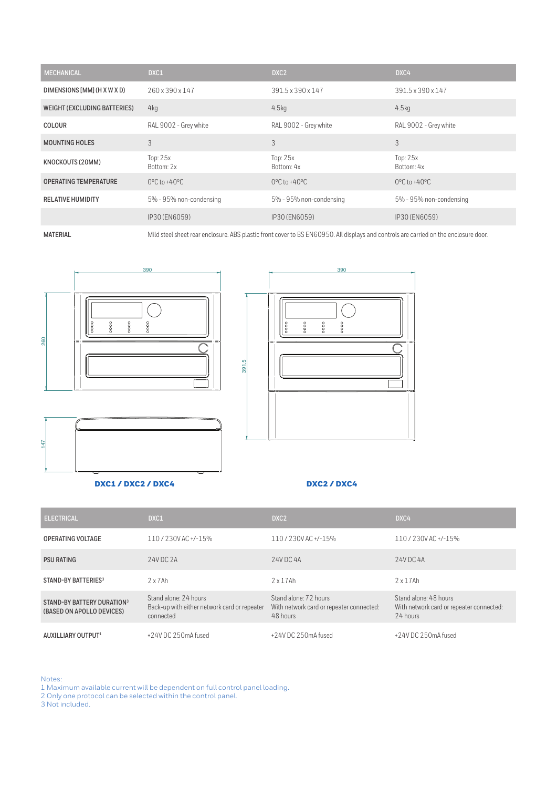| <b>MECHANICAL</b>                   | DXC1                              | DXC <sub>2</sub>                  | DXC4                              |
|-------------------------------------|-----------------------------------|-----------------------------------|-----------------------------------|
| DIMENSIONS [MM] (H X W X D)         | 260 x 390 x 147                   | 391.5 x 390 x 147                 | 391.5 x 390 x 147                 |
| <b>WEIGHT (EXCLUDING BATTERIES)</b> | 4kg                               | 4.5 <sub>kq</sub>                 | 4.5 <sub>kq</sub>                 |
| <b>COLOUR</b>                       | RAL 9002 - Grey white             | RAL 9002 - Grey white             | RAL 9002 - Grey white             |
| <b>MOUNTING HOLES</b>               | 3                                 | 3                                 | 3                                 |
| KNOCKOUTS (20MM)                    | Top: $25x$<br>Bottom: 2x          | Top: $25x$<br>Bottom: 4x          | Top: $25x$<br>Bottom: 4x          |
| <b>OPERATING TEMPERATURE</b>        | $0^{\circ}$ C to +40 $^{\circ}$ C | $0^{\circ}$ C to +40 $^{\circ}$ C | $0^{\circ}$ C to +40 $^{\circ}$ C |
| <b>RELATIVE HUMIDITY</b>            | 5% - 95% non-condensing           | 5% - 95% non-condensing           | 5% - 95% non-condensing           |
|                                     | IP30 (EN6059)                     | IP30 (EN6059)                     | IP30 (EN6059)                     |

MATERIAL MILD steel sheet rear enclosure. ABS plastic front cover to BS EN60950. All displays and controls are carried on the enclosure door.







# DXC1 / DXC2 / DXC4 DXC2 / DXC4

| <b>ELECTRICAL</b>                                                   | DXC1                                                                               | DXC <sub>2</sub>                                                              | DXC4                                                                          |
|---------------------------------------------------------------------|------------------------------------------------------------------------------------|-------------------------------------------------------------------------------|-------------------------------------------------------------------------------|
| <b>OPERATING VOLTAGE</b>                                            | 110/230VAC+/-15%                                                                   | 110/230VAC+/-15%                                                              | 110/230VAC+/-15%                                                              |
| <b>PSU RATING</b>                                                   | 24V DC 2A                                                                          | 24V DC 4A                                                                     | 24V DC 4A                                                                     |
| STAND-BY BATTERIES <sup>3</sup>                                     | $2 \times 7$ Ah                                                                    | $2 \times 17$ Ah                                                              | $2 \times 17$ Ah                                                              |
| STAND-BY BATTERY DURATION <sup>3</sup><br>(BASED ON APOLLO DEVICES) | Stand alone: 24 hours<br>Back-up with either network card or repeater<br>connected | Stand alone: 72 hours<br>With network card or repeater connected:<br>48 hours | Stand alone: 48 hours<br>With network card or repeater connected:<br>24 hours |
| AUXILLIARY OUTPUT1                                                  | +24V DC 250mA fused                                                                | +24V DC 250mA fused                                                           | +24V DC 250mA fused                                                           |

Notes:

- 1 Maximum available current will be dependent on full control panel loading.
- 2 Only one protocol can be selected within the control panel.

3 Not included.